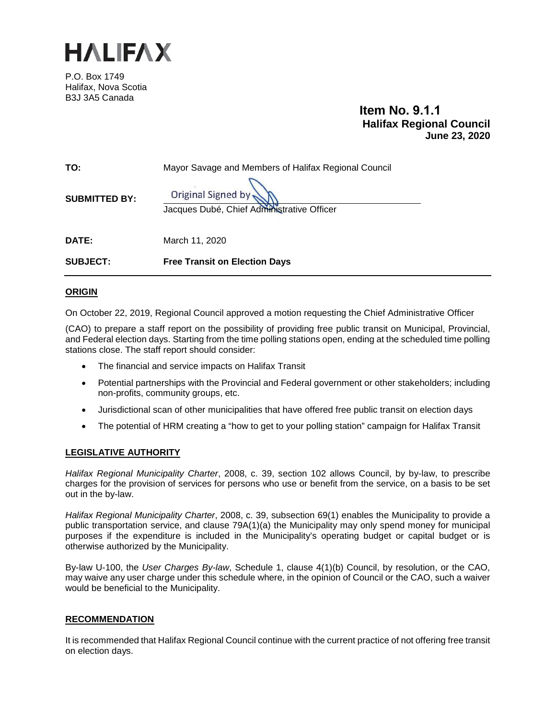

P.O. Box 1749 Halifax, Nova Scotia B3J 3A5 Canada

# **Item No. 9.1.1 Halifax Regional Council June 23, 2020**

| <b>SUBJECT:</b>      | <b>Free Transit on Election Days</b>                             |
|----------------------|------------------------------------------------------------------|
| <b>DATE:</b>         | March 11, 2020                                                   |
| <b>SUBMITTED BY:</b> | Original Signed by<br>Jacques Dubé, Chief Administrative Officer |
| TO:                  | Mayor Savage and Members of Halifax Regional Council             |

# **ORIGIN**

On October 22, 2019, Regional Council approved a motion requesting the Chief Administrative Officer

(CAO) to prepare a staff report on the possibility of providing free public transit on Municipal, Provincial, and Federal election days. Starting from the time polling stations open, ending at the scheduled time polling stations close. The staff report should consider:

- The financial and service impacts on Halifax Transit
- Potential partnerships with the Provincial and Federal government or other stakeholders; including non-profits, community groups, etc.
- Jurisdictional scan of other municipalities that have offered free public transit on election days
- The potential of HRM creating a "how to get to your polling station" campaign for Halifax Transit

# **LEGISLATIVE AUTHORITY**

*Halifax Regional Municipality Charter*, 2008, c. 39, section 102 allows Council, by by-law, to prescribe charges for the provision of services for persons who use or benefit from the service, on a basis to be set out in the by-law.

*Halifax Regional Municipality Charter*, 2008, c. 39, subsection 69(1) enables the Municipality to provide a public transportation service, and clause 79A(1)(a) the Municipality may only spend money for municipal purposes if the expenditure is included in the Municipality's operating budget or capital budget or is otherwise authorized by the Municipality.

By-law U-100, the *User Charges By-law*, Schedule 1, clause 4(1)(b) Council, by resolution, or the CAO, may waive any user charge under this schedule where, in the opinion of Council or the CAO, such a waiver would be beneficial to the Municipality.

# **RECOMMENDATION**

It is recommended that Halifax Regional Council continue with the current practice of not offering free transit on election days.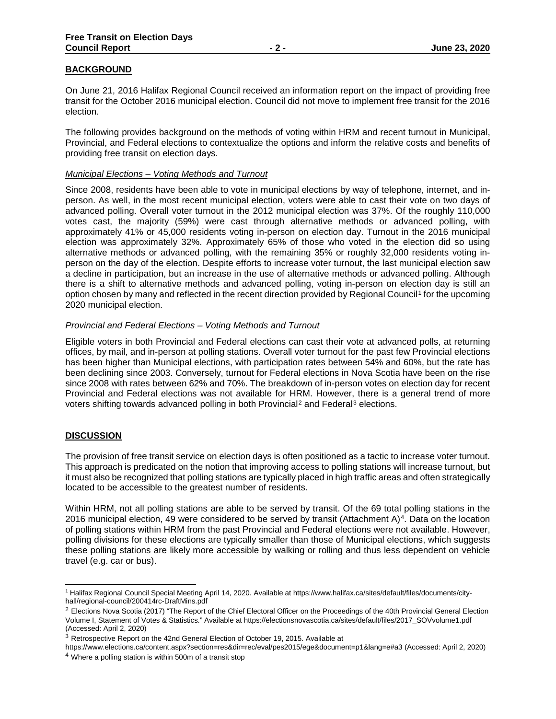# **BACKGROUND**

On June 21, 2016 Halifax Regional Council received an information report on the impact of providing free transit for the October 2016 municipal election. Council did not move to implement free transit for the 2016 election.

The following provides background on the methods of voting within HRM and recent turnout in Municipal, Provincial, and Federal elections to contextualize the options and inform the relative costs and benefits of providing free transit on election days.

## *Municipal Elections – Voting Methods and Turnout*

Since 2008, residents have been able to vote in municipal elections by way of telephone, internet, and inperson. As well, in the most recent municipal election, voters were able to cast their vote on two days of advanced polling. Overall voter turnout in the 2012 municipal election was 37%. Of the roughly 110,000 votes cast, the majority (59%) were cast through alternative methods or advanced polling, with approximately 41% or 45,000 residents voting in-person on election day. Turnout in the 2016 municipal election was approximately 32%. Approximately 65% of those who voted in the election did so using alternative methods or advanced polling, with the remaining 35% or roughly 32,000 residents voting inperson on the day of the election. Despite efforts to increase voter turnout, the last municipal election saw a decline in participation, but an increase in the use of alternative methods or advanced polling. Although there is a shift to alternative methods and advanced polling, voting in-person on election day is still an option chosen by many and reflected in the recent direction provided by Regional Council<sup>[1](#page-1-0)</sup> for the upcoming 2020 municipal election.

#### *Provincial and Federal Elections – Voting Methods and Turnout*

Eligible voters in both Provincial and Federal elections can cast their vote at advanced polls, at returning offices, by mail, and in-person at polling stations. Overall voter turnout for the past few Provincial elections has been higher than Municipal elections, with participation rates between 54% and 60%, but the rate has been declining since 2003. Conversely, turnout for Federal elections in Nova Scotia have been on the rise since 2008 with rates between 62% and 70%. The breakdown of in-person votes on election day for recent Provincial and Federal elections was not available for HRM. However, there is a general trend of more voters shifting towards advanced polling in both Provincial<sup>[2](#page-1-1)</sup> and Federal<sup>[3](#page-1-2)</sup> elections.

# **DISCUSSION**

The provision of free transit service on election days is often positioned as a tactic to increase voter turnout. This approach is predicated on the notion that improving access to polling stations will increase turnout, but it must also be recognized that polling stations are typically placed in high traffic areas and often strategically located to be accessible to the greatest number of residents.

Within HRM, not all polling stations are able to be served by transit. Of the 69 total polling stations in the 2016 municipal election, [4](#page-1-3)9 were considered to be served by transit (Attachment A)<sup>4</sup>. Data on the location of polling stations within HRM from the past Provincial and Federal elections were not available. However, polling divisions for these elections are typically smaller than those of Municipal elections, which suggests these polling stations are likely more accessible by walking or rolling and thus less dependent on vehicle travel (e.g. car or bus).

<span id="page-1-3"></span>https://www.elections.ca/content.aspx?section=res&dir=rec/eval/pes2015/ege&document=p1&lang=e#a3 (Accessed: April 2, 2020) <sup>4</sup> Where a polling station is within 500m of a transit stop

<span id="page-1-0"></span><sup>1</sup> Halifax Regional Council Special Meeting April 14, 2020. Available at https://www.halifax.ca/sites/default/files/documents/cityhall/regional-council/200414rc-DraftMins.pdf

<span id="page-1-1"></span><sup>&</sup>lt;sup>2</sup> Elections Nova Scotia (2017) "The Report of the Chief Electoral Officer on the Proceedings of the 40th Provincial General Election Volume I, Statement of Votes & Statistics." Available at https://electionsnovascotia.ca/sites/default/files/2017\_SOVvolume1.pdf (Accessed: April 2, 2020)

<span id="page-1-2"></span><sup>3</sup> Retrospective Report on the 42nd General Election of October 19, 2015. Available at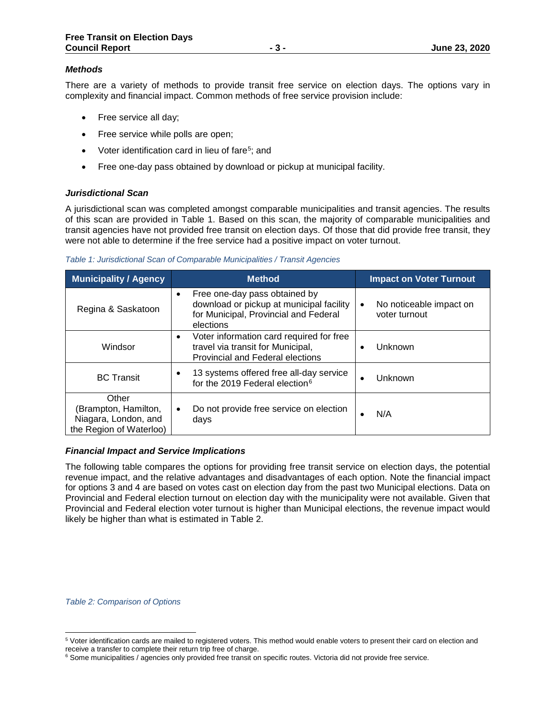# *Methods*

There are a variety of methods to provide transit free service on election days. The options vary in complexity and financial impact. Common methods of free service provision include:

- Free service all day;
- Free service while polls are open;
- Voter identification card in lieu of fare<sup>5</sup>; and
- Free one-day pass obtained by download or pickup at municipal facility.

# *Jurisdictional Scan*

A jurisdictional scan was completed amongst comparable municipalities and transit agencies. The results of this scan are provided in Table 1. Based on this scan, the majority of comparable municipalities and transit agencies have not provided free transit on election days. Of those that did provide free transit, they were not able to determine if the free service had a positive impact on voter turnout.

|  |  | Table 1: Jurisdictional Scan of Comparable Municipalities / Transit Agencies |  |
|--|--|------------------------------------------------------------------------------|--|
|  |  |                                                                              |  |

| <b>Municipality / Agency</b>                                                     | <b>Method</b>                                                                                                                         | <b>Impact on Voter Turnout</b>                |
|----------------------------------------------------------------------------------|---------------------------------------------------------------------------------------------------------------------------------------|-----------------------------------------------|
| Regina & Saskatoon                                                               | Free one-day pass obtained by<br>download or pickup at municipal facility<br>for Municipal, Provincial and Federal<br>elections       | No noticeable impact on<br>٠<br>voter turnout |
| Windsor                                                                          | Voter information card required for free<br>$\bullet$<br>travel via transit for Municipal,<br><b>Provincial and Federal elections</b> | Unknown                                       |
| <b>BC</b> Transit                                                                | 13 systems offered free all-day service<br>for the 2019 Federal election <sup>6</sup>                                                 | Unknown                                       |
| Other<br>(Brampton, Hamilton,<br>Niagara, London, and<br>the Region of Waterloo) | Do not provide free service on election<br>$\bullet$<br>days                                                                          | N/A                                           |

#### *Financial Impact and Service Implications*

The following table compares the options for providing free transit service on election days, the potential revenue impact, and the relative advantages and disadvantages of each option. Note the financial impact for options 3 and 4 are based on votes cast on election day from the past two Municipal elections. Data on Provincial and Federal election turnout on election day with the municipality were not available. Given that Provincial and Federal election voter turnout is higher than Municipal elections, the revenue impact would likely be higher than what is estimated in Table 2.

*Table 2: Comparison of Options*

<span id="page-2-0"></span><sup>5</sup> Voter identification cards are mailed to registered voters. This method would enable voters to present their card on election and receive a transfer to complete their return trip free of charge.

<span id="page-2-1"></span><sup>&</sup>lt;sup>6</sup> Some municipalities / agencies only provided free transit on specific routes. Victoria did not provide free service.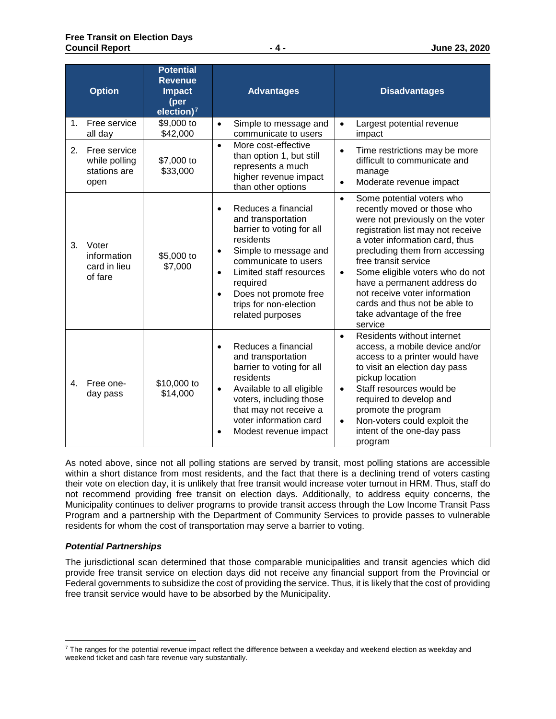|                | <b>Option</b>                                         | <b>Potential</b><br><b>Revenue</b><br><b>Impact</b><br>(per<br>election) $7$ | <b>Advantages</b>                                                                                                                                                                                                                                                                         | <b>Disadvantages</b>                                                                                                                                                                                                                                                                                                                                                                                                                 |
|----------------|-------------------------------------------------------|------------------------------------------------------------------------------|-------------------------------------------------------------------------------------------------------------------------------------------------------------------------------------------------------------------------------------------------------------------------------------------|--------------------------------------------------------------------------------------------------------------------------------------------------------------------------------------------------------------------------------------------------------------------------------------------------------------------------------------------------------------------------------------------------------------------------------------|
| 1.             | Free service<br>all day                               | \$9,000 to<br>\$42,000                                                       | Simple to message and<br>$\bullet$<br>communicate to users                                                                                                                                                                                                                                | Largest potential revenue<br>$\bullet$<br>impact                                                                                                                                                                                                                                                                                                                                                                                     |
| 2.             | Free service<br>while polling<br>stations are<br>open | \$7,000 to<br>\$33,000                                                       | More cost-effective<br>$\bullet$<br>than option 1, but still<br>represents a much<br>higher revenue impact<br>than other options                                                                                                                                                          | Time restrictions may be more<br>$\bullet$<br>difficult to communicate and<br>manage<br>Moderate revenue impact<br>$\bullet$                                                                                                                                                                                                                                                                                                         |
| 3.             | Voter<br>information<br>card in lieu<br>of fare       | \$5,000 to<br>\$7,000                                                        | Reduces a financial<br>and transportation<br>barrier to voting for all<br>residents<br>Simple to message and<br>$\bullet$<br>communicate to users<br>Limited staff resources<br>$\bullet$<br>required<br>Does not promote free<br>$\bullet$<br>trips for non-election<br>related purposes | Some potential voters who<br>$\bullet$<br>recently moved or those who<br>were not previously on the voter<br>registration list may not receive<br>a voter information card, thus<br>precluding them from accessing<br>free transit service<br>Some eligible voters who do not<br>$\bullet$<br>have a permanent address do<br>not receive voter information<br>cards and thus not be able to<br>take advantage of the free<br>service |
| 4 <sup>1</sup> | Free one-<br>day pass                                 | \$10,000 to<br>\$14,000                                                      | Reduces a financial<br>and transportation<br>barrier to voting for all<br>residents<br>Available to all eligible<br>$\bullet$<br>voters, including those<br>that may not receive a<br>voter information card<br>Modest revenue impact<br>$\bullet$                                        | Residents without internet<br>$\bullet$<br>access, a mobile device and/or<br>access to a printer would have<br>to visit an election day pass<br>pickup location<br>Staff resources would be<br>$\bullet$<br>required to develop and<br>promote the program<br>Non-voters could exploit the<br>$\bullet$<br>intent of the one-day pass<br>program                                                                                     |

As noted above, since not all polling stations are served by transit, most polling stations are accessible within a short distance from most residents, and the fact that there is a declining trend of voters casting their vote on election day, it is unlikely that free transit would increase voter turnout in HRM. Thus, staff do not recommend providing free transit on election days. Additionally, to address equity concerns, the Municipality continues to deliver programs to provide transit access through the Low Income Transit Pass Program and a partnership with the Department of Community Services to provide passes to vulnerable residents for whom the cost of transportation may serve a barrier to voting.

# *Potential Partnerships*

The jurisdictional scan determined that those comparable municipalities and transit agencies which did provide free transit service on election days did not receive any financial support from the Provincial or Federal governments to subsidize the cost of providing the service. Thus, it is likely that the cost of providing free transit service would have to be absorbed by the Municipality.

<span id="page-3-0"></span> $7$  The ranges for the potential revenue impact reflect the difference between a weekday and weekend election as weekday and weekend ticket and cash fare revenue vary substantially.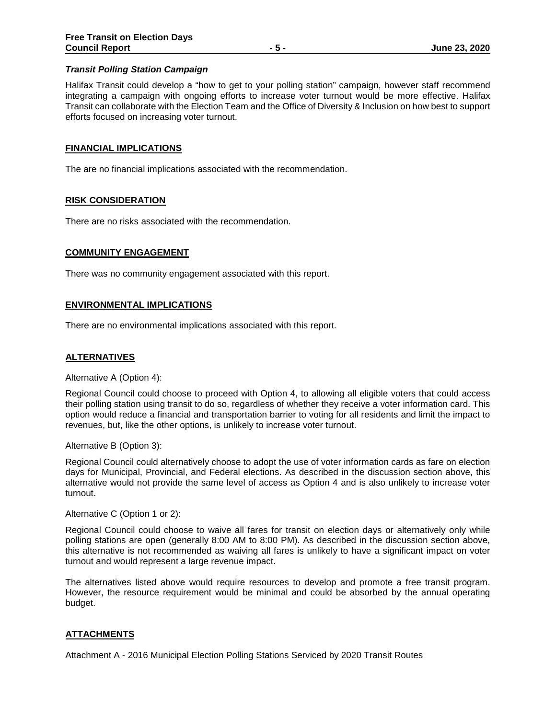## *Transit Polling Station Campaign*

Halifax Transit could develop a "how to get to your polling station" campaign, however staff recommend integrating a campaign with ongoing efforts to increase voter turnout would be more effective. Halifax Transit can collaborate with the Election Team and the Office of Diversity & Inclusion on how best to support efforts focused on increasing voter turnout.

#### **FINANCIAL IMPLICATIONS**

The are no financial implications associated with the recommendation.

#### **RISK CONSIDERATION**

There are no risks associated with the recommendation.

#### **COMMUNITY ENGAGEMENT**

There was no community engagement associated with this report.

#### **ENVIRONMENTAL IMPLICATIONS**

There are no environmental implications associated with this report.

## **ALTERNATIVES**

Alternative A (Option 4):

Regional Council could choose to proceed with Option 4, to allowing all eligible voters that could access their polling station using transit to do so, regardless of whether they receive a voter information card. This option would reduce a financial and transportation barrier to voting for all residents and limit the impact to revenues, but, like the other options, is unlikely to increase voter turnout.

Alternative B (Option 3):

Regional Council could alternatively choose to adopt the use of voter information cards as fare on election days for Municipal, Provincial, and Federal elections. As described in the discussion section above, this alternative would not provide the same level of access as Option 4 and is also unlikely to increase voter turnout.

#### Alternative C (Option 1 or 2):

Regional Council could choose to waive all fares for transit on election days or alternatively only while polling stations are open (generally 8:00 AM to 8:00 PM). As described in the discussion section above, this alternative is not recommended as waiving all fares is unlikely to have a significant impact on voter turnout and would represent a large revenue impact.

The alternatives listed above would require resources to develop and promote a free transit program. However, the resource requirement would be minimal and could be absorbed by the annual operating budget.

# **ATTACHMENTS**

Attachment A - 2016 Municipal Election Polling Stations Serviced by 2020 Transit Routes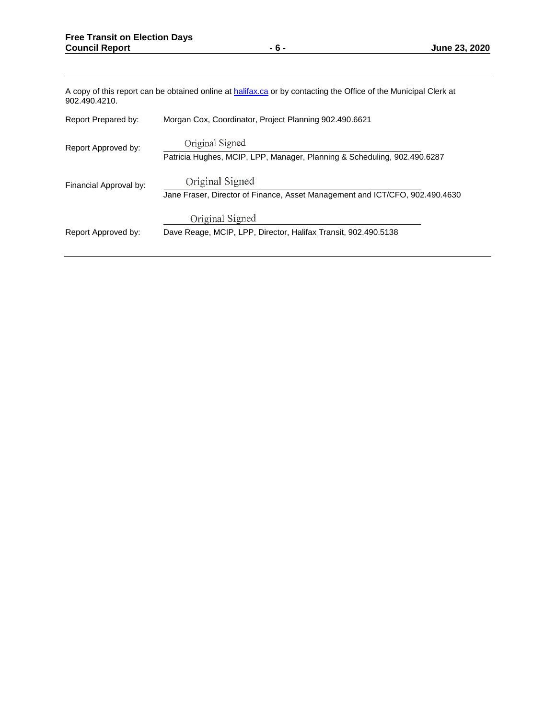| A copy of this report can be obtained online at halifax.ca or by contacting the Office of the Municipal Clerk at<br>902.490.4210. |                                                                                                 |  |  |
|-----------------------------------------------------------------------------------------------------------------------------------|-------------------------------------------------------------------------------------------------|--|--|
| Report Prepared by:                                                                                                               | Morgan Cox, Coordinator, Project Planning 902.490.6621                                          |  |  |
| Report Approved by:                                                                                                               | Original Signed<br>Patricia Hughes, MCIP, LPP, Manager, Planning & Scheduling, 902.490.6287     |  |  |
| Financial Approval by:                                                                                                            | Original Signed<br>Jane Fraser, Director of Finance, Asset Management and ICT/CFO, 902.490.4630 |  |  |
| Report Approved by:                                                                                                               | Original Signed<br>Dave Reage, MCIP, LPP, Director, Halifax Transit, 902.490.5138               |  |  |